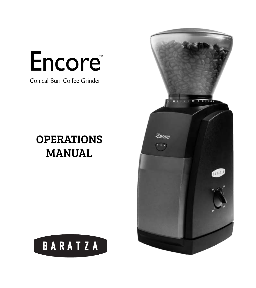## Encore

Conical Burr Coffee Grinder

#### OPERATIONS MANUAL



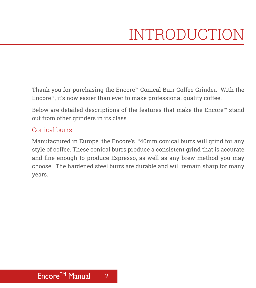Thank you for purchasing the Encore™ Conical Burr Coffee Grinder. With the Encore™, it's now easier than ever to make professional quality coffee.

Below are detailed descriptions of the features that make the Encore™ stand out from other grinders in its class.

#### Conical burrs

Manufactured in Europe, the Encore's ™40mm conical burrs will grind for any style of coffee. These conical burrs produce a consistent grind that is accurate and fine enough to produce Espresso, as well as any brew method you may choose. The hardened steel burrs are durable and will remain sharp for many years.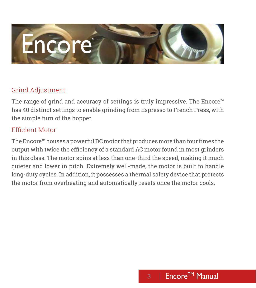# Encore

#### Grind Adjustment

The range of grind and accuracy of settings is truly impressive. The Encore<sup>™</sup> has 40 distinct settings to enable grinding from Espresso to French Press, with the simple turn of the hopper.

#### Efficient Motor

The Encore™ houses a powerful DC motor that produces more than four times the output with twice the efficiency of a standard AC motor found in most grinders in this class. The motor spins at less than one-third the speed, making it much quieter and lower in pitch. Extremely well-made, the motor is built to handle long-duty cycles. In addition, it possesses a thermal safety device that protects the motor from overheating and automatically resets once the motor cools.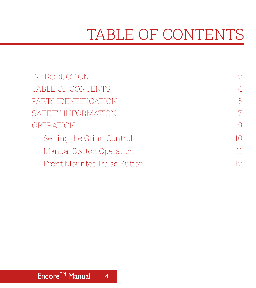### TABLE OF CONTENTS

| <b>INTRODUCTION</b>        | 2                        |
|----------------------------|--------------------------|
| TABLE OF CONTENTS          | $\overline{\mathcal{A}}$ |
| PARTS IDENTIFICATION       | $\sqrt{ }$               |
| SAFETY INFORMATION         | $\overline{7}$           |
| OPERATION                  | $\bigcirc$               |
| Setting the Grind Control  | $1 \cap$                 |
| Manual Switch Operation    | 11                       |
| Front Mounted Pulse Button | 12.                      |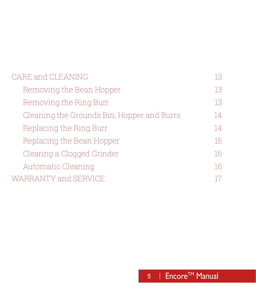#### CARE and CLEANING 13 Removing the Bean Hopper 13 Removing the Ring Burr 13 Cleaning the Grounds Bin, Hopper and Burrs 14 Replacing the Ring Burr 14 Replacing the Bean Hopper 15 Clearing a Clogged Grinder 16 Automatic Cleaning 16 WARRANTY and SERVICE 17 17

#### 5 | Encore™ Manual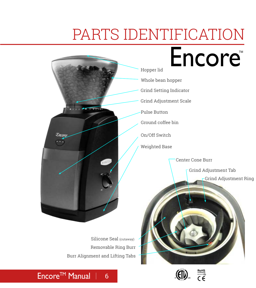### PARTS IDENTIFICATION





#### Encore<sup>™</sup> Manual | 6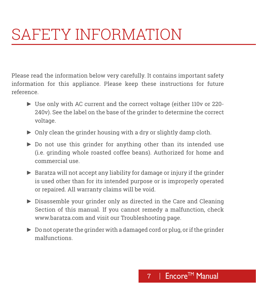### SAFETY INFORMATION

Please read the information below very carefully. It contains important safety information for this appliance. Please keep these instructions for future reference.

- ► Use only with AC current and the correct voltage (either 110v or 220- 240v). See the label on the base of the grinder to determine the correct voltage.
- ► Only clean the grinder housing with a dry or slightly damp cloth.
- ► Do not use this grinder for anything other than its intended use (i.e. grinding whole roasted coffee beans). Authorized for home and commercial use.
- ► Baratza will not accept any liability for damage or injury if the grinder is used other than for its intended purpose or is improperly operated or repaired. All warranty claims will be void.
- ► Disassemble your grinder only as directed in the Care and Cleaning Section of this manual. If you cannot remedy a malfunction, check www.baratza.com and visit our Troubleshooting page.
- ► Do not operate the grinder with a damaged cord or plug, or if the grinder malfunctions.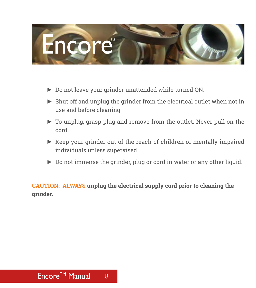

- ► Do not leave your grinder unattended while turned ON.
- ► Shut off and unplug the grinder from the electrical outlet when not in use and before cleaning.
- ► To unplug, grasp plug and remove from the outlet. Never pull on the cord.
- ► Keep your grinder out of the reach of children or mentally impaired individuals unless supervised.
- ► Do not immerse the grinder, plug or cord in water or any other liquid.

**CAUTION: ALWAYS unplug the electrical supply cord prior to cleaning the grinder.**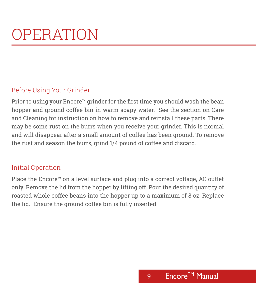### OPERATION

#### Before Using Your Grinder

Prior to using your Encore™ grinder for the first time you should wash the bean hopper and ground coffee bin in warm soapy water. See the section on Care and Cleaning for instruction on how to remove and reinstall these parts. There may be some rust on the burrs when you receive your grinder. This is normal and will disappear after a small amount of coffee has been ground. To remove the rust and season the burrs, grind 1/4 pound of coffee and discard.

#### Initial Operation

Place the Encore<sup>™</sup> on a level surface and plug into a correct voltage, AC outlet only. Remove the lid from the hopper by lifting off. Pour the desired quantity of roasted whole coffee beans into the hopper up to a maximum of 8 oz. Replace the lid. Ensure the ground coffee bin is fully inserted.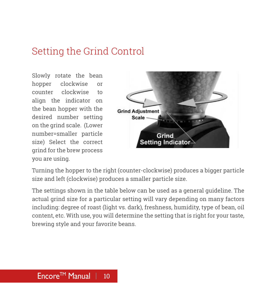#### Setting the Grind Control

Slowly rotate the bean hopper clockwise or counter clockwise to align the indicator on the bean hopper with the desired number setting on the grind scale. (Lower number=smaller particle size) Select the correct grind for the brew process you are using.



Turning the hopper to the right (counter-clockwise) produces a bigger particle size and left (clockwise) produces a smaller particle size.

The settings shown in the table below can be used as a general guideline. The actual grind size for a particular setting will vary depending on many factors including: degree of roast (light vs. dark), freshness, humidity, type of bean, oil content, etc. With use, you will determine the setting that is right for your taste, brewing style and your favorite beans.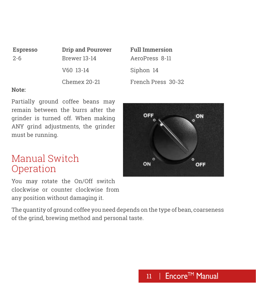| <b>Espresso</b> | <b>Drip and Pourover</b> | <b>Full Immersion</b> |
|-----------------|--------------------------|-----------------------|
| 2-6             | Brewer 13-14             | AeroPress 8-11        |
|                 | V60 13-14                | Siphon 14             |
|                 | <b>Chemex 20-21</b>      | French Press 30-32    |

#### **Note:**

Partially ground coffee beans may remain between the burrs after the grinder is turned off. When making ANY grind adjustments, the grinder must be running.

#### Manual Switch Operation

You may rotate the On/Off switch clockwise or counter clockwise from any position without damaging it.

The quantity of ground coffee you need depends on the type of bean, coarseness of the grind, brewing method and personal taste.

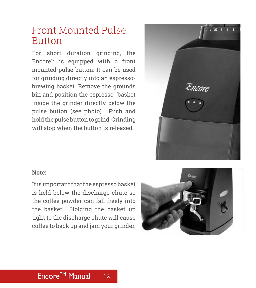#### Front Mounted Pulse Button

For short duration grinding, the Encore™ is equipped with a front mounted pulse button. It can be used for grinding directly into an espressobrewing basket. Remove the grounds bin and position the espresso- basket inside the grinder directly below the pulse button (see photo). Push and hold the pulse button to grind. Grinding will stop when the button is released.



#### **Note:**

It is important that the espresso basket is held below the discharge chute so the coffee powder can fall freely into the basket. Holding the basket up tight to the discharge chute will cause coffee to back up and jam your grinder.

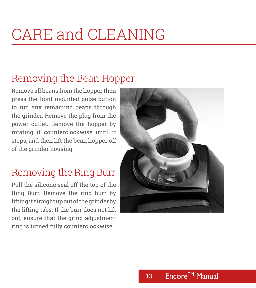### CARE and CLEANING

#### Removing the Bean Hopper

Remove all beans from the hopper then press the front mounted pulse button to run any remaining beans through the grinder. Remove the plug from the power outlet. Remove the hopper by rotating it counterclockwise until it stops, and then lift the bean hopper off of the grinder housing.

#### Removing the Ring Burr

Pull the silicone seal off the top of the Ring Burr. Remove the ring burr by lifting it straight up out of the grinder by the lifting tabs. If the burr does not lift out, ensure that the grind adjustment ring is turned fully counterclockwise.

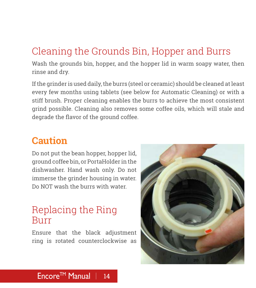#### Cleaning the Grounds Bin, Hopper and Burrs

Wash the grounds bin, hopper, and the hopper lid in warm soapy water, then rinse and dry.

If the grinder is used daily, the burrs (steel or ceramic) should be cleaned at least every few months using tablets (see below for Automatic Cleaning) or with a stiff brush. Proper cleaning enables the burrs to achieve the most consistent grind possible. Cleaning also removes some coffee oils, which will stale and degrade the flavor of the ground coffee.

#### **Caution**

Do not put the bean hopper, hopper lid, ground coffee bin, or PortaHolder in the dishwasher. Hand wash only. Do not immerse the grinder housing in water. Do NOT wash the burrs with water.

#### Replacing the Ring Burr

Ensure that the black adjustment ring is rotated counterclockwise as

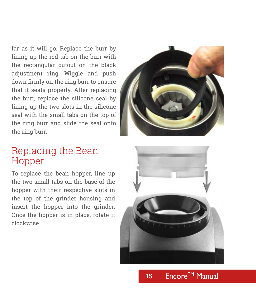far as it will go. Replace the burr by lining up the red tab on the burr with the rectangular cutout on the black adjustment ring. Wiggle and push down firmly on the ring burr to ensure that it seats properly. After replacing the burr, replace the silicone seal by lining up the two slots in the silicone seal with the small tabs on the top of the ring burr and slide the seal onto the ring burr.



#### Replacing the Bean Hopper

To replace the bean hopper, line up the two small tabs on the base of the hopper with their respective slots in the top of the grinder housing and insert the hopper into the grinder. Once the hopper is in place, rotate it clockwise.



15 | Encore™ Manual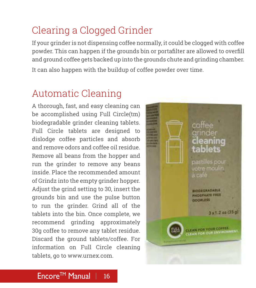#### Clearing a Clogged Grinder

If your grinder is not dispensing coffee normally, it could be clogged with coffee powder. This can happen if the grounds bin or portafilter are allowed to overfill and ground coffee gets backed up into the grounds chute and grinding chamber. It can also happen with the buildup of coffee powder over time.

#### Automatic Cleaning

A thorough, fast, and easy cleaning can be accomplished using Full Circle(tm) biodegradable grinder cleaning tablets. Full Circle tablets are designed to dislodge coffee particles and absorb and remove odors and coffee oil residue. Remove all beans from the hopper and run the grinder to remove any beans inside. Place the recommended amount of Grindz into the empty grinder hopper. Adjust the grind setting to 30, insert the grounds bin and use the pulse button to run the grinder. Grind all of the tablets into the bin. Once complete, we recommend grinding approximately 30g coffee to remove any tablet residue. Discard the ground tablets/coffee. For information on Full Circle cleaning tablets, go to www.urnex.com.

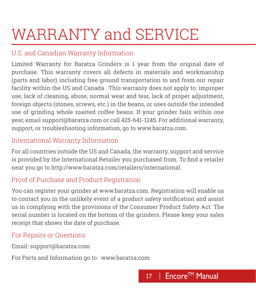### WARRANTY and SERVICE

#### U.S. and Canadian Warranty Information

Limited Warranty for Baratza Grinders is 1 year from the original date of purchase. This warranty covers all defects in materials and workmanship (parts and labor) including free ground transportation to and from our repair facility within the US and Canada. This warranty does not apply to: improper use, lack of cleaning, abuse, normal wear and tear, lack of proper adjustment, foreign objects (stones, screws, etc.) in the beans, or uses outside the intended use of grinding whole roasted coffee beans. If your grinder fails within one year, email support@baratza.com or call 425-641-1245. For additional warranty, support, or troubleshooting information, go to www.baratza.com.

#### International Warranty Information

For all countries outside the US and Canada, the warranty, support and service is provided by the International Retailer you purchased from. To find a retailer near you go to http://www.baratza.com/retailers/international.

#### Proof of Purchase and Product Registration

You can register your grinder at www.baratza.com. Registration will enable us to contact you in the unlikely event of a product safety notification and assist us in complying with the provisions of the Consumer Product Safety Act. The serial number is located on the bottom of the grinders. Please keep your sales receipt that shows the date of purchase.

#### For Repairs or Questions

Email: support@baratza.com

For Parts and Information go to: www.baratza.com